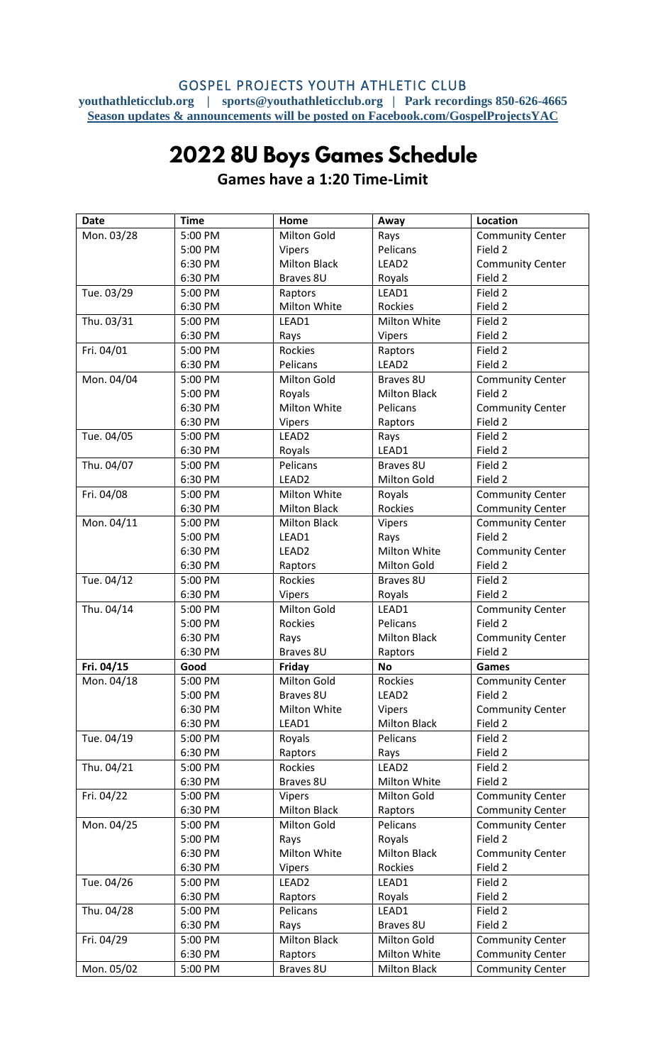## GOSPEL PROJECTS YOUTH ATHLETIC CLUB **youthathleticclub.org | sports@youthathleticclub.org | Park recordings 850-626-4665 Season updates & announcements will be posted on Facebook.com/GospelProjectsYAC**

## 2022 8U Boys Games Schedule

| <b>Date</b> | <b>Time</b> | Home                | Away                | <b>Location</b>         |
|-------------|-------------|---------------------|---------------------|-------------------------|
| Mon. 03/28  | 5:00 PM     | Milton Gold         | Rays                | <b>Community Center</b> |
|             | 5:00 PM     | Vipers              | Pelicans            | Field 2                 |
|             | 6:30 PM     | <b>Milton Black</b> | LEAD <sub>2</sub>   | <b>Community Center</b> |
|             | 6:30 PM     | Braves 8U           | Royals              | Field 2                 |
| Tue. 03/29  | 5:00 PM     | Raptors             | LEAD1               | Field 2                 |
|             | 6:30 PM     | Milton White        | <b>Rockies</b>      | Field 2                 |
| Thu. 03/31  | 5:00 PM     | LEAD1               | Milton White        | Field 2                 |
|             | 6:30 PM     | Rays                | Vipers              | Field 2                 |
| Fri. 04/01  | 5:00 PM     | <b>Rockies</b>      | Raptors             | Field 2                 |
|             | 6:30 PM     | Pelicans            | LEAD <sub>2</sub>   | Field 2                 |
| Mon. 04/04  | 5:00 PM     | Milton Gold         | Braves 8U           | <b>Community Center</b> |
|             | 5:00 PM     | Royals              | <b>Milton Black</b> | Field 2                 |
|             | 6:30 PM     | Milton White        | Pelicans            | <b>Community Center</b> |
|             | 6:30 PM     | Vipers              | Raptors             | Field 2                 |
| Tue. 04/05  | 5:00 PM     | LEAD <sub>2</sub>   | Rays                | Field 2                 |
|             | 6:30 PM     | Royals              | LEAD1               | Field 2                 |
| Thu. 04/07  | 5:00 PM     | Pelicans            | Braves 8U           | Field 2                 |
|             | 6:30 PM     | LEAD <sub>2</sub>   | Milton Gold         | Field 2                 |
| Fri. 04/08  | 5:00 PM     | Milton White        | Royals              | <b>Community Center</b> |
|             | 6:30 PM     | <b>Milton Black</b> | Rockies             | <b>Community Center</b> |
| Mon. 04/11  | 5:00 PM     | <b>Milton Black</b> | Vipers              | <b>Community Center</b> |
|             | 5:00 PM     | LEAD1               | Rays                | Field 2                 |
|             | 6:30 PM     | LEAD <sub>2</sub>   | Milton White        | <b>Community Center</b> |
|             | 6:30 PM     | Raptors             | Milton Gold         | Field 2                 |
| Tue. 04/12  | 5:00 PM     | Rockies             | Braves 8U           | Field 2                 |
|             | 6:30 PM     | Vipers              | Royals              | Field 2                 |
| Thu. 04/14  | 5:00 PM     | Milton Gold         | LEAD1               | <b>Community Center</b> |
|             | 5:00 PM     | Rockies             | Pelicans            | Field 2                 |
|             | 6:30 PM     | Rays                | <b>Milton Black</b> | <b>Community Center</b> |
|             | 6:30 PM     | Braves 8U           | Raptors             | Field 2                 |
| Fri. 04/15  | Good        | Friday              | <b>No</b>           | Games                   |
| Mon. 04/18  | 5:00 PM     | Milton Gold         | Rockies             | <b>Community Center</b> |
|             | 5:00 PM     | Braves 8U           | LEAD <sub>2</sub>   | Field 2                 |
|             | 6:30 PM     | Milton White        | Vipers              | <b>Community Center</b> |
|             | 6:30 PM     | LEAD1               | <b>Milton Black</b> | Field 2                 |
| Tue. 04/19  | 5:00 PM     | Royals              | Pelicans            | Field 2                 |
|             | 6:30 PM     | Raptors             | Rays                | Field 2                 |
| Thu. 04/21  | 5:00 PM     | Rockies             | LEAD <sub>2</sub>   | Field 2                 |
|             | 6:30 PM     | Braves 8U           | Milton White        | Field 2                 |
| Fri. 04/22  | 5:00 PM     | Vipers              | Milton Gold         | <b>Community Center</b> |
|             | 6:30 PM     | <b>Milton Black</b> | Raptors             | <b>Community Center</b> |
| Mon. 04/25  | 5:00 PM     | Milton Gold         | Pelicans            | <b>Community Center</b> |
|             | 5:00 PM     | Rays                | Royals              | Field 2                 |
|             | 6:30 PM     | Milton White        | <b>Milton Black</b> | <b>Community Center</b> |
|             | 6:30 PM     | <b>Vipers</b>       | Rockies             | Field 2                 |
| Tue. 04/26  | 5:00 PM     | LEAD <sub>2</sub>   | LEAD1               | Field 2                 |
|             | 6:30 PM     | Raptors             | Royals              | Field 2                 |
| Thu. 04/28  | 5:00 PM     | Pelicans            | LEAD1               | Field 2                 |
|             | 6:30 PM     | Rays                | Braves 8U           | Field 2                 |
| Fri. 04/29  | 5:00 PM     | <b>Milton Black</b> | Milton Gold         | <b>Community Center</b> |
|             | 6:30 PM     | Raptors             | Milton White        | <b>Community Center</b> |
| Mon. 05/02  | 5:00 PM     | Braves 8U           | <b>Milton Black</b> | <b>Community Center</b> |